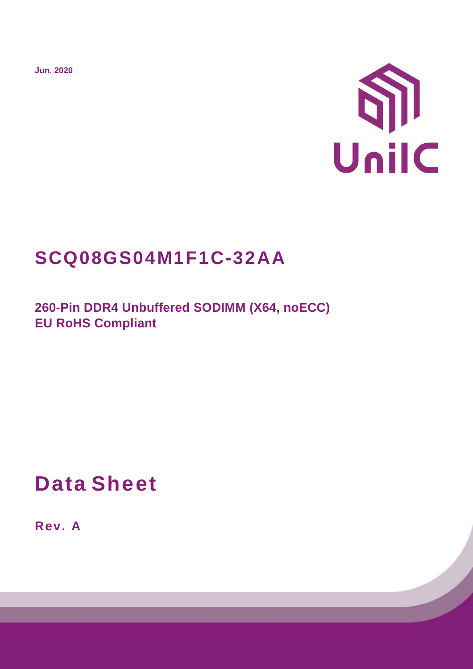**Jun. 2020**



# **SCQ08GS04M1F1C-32AA**

**260-Pin DDR4 Unbuffered SODIMM (X64, noECC) EU RoHS Compliant** 

**Data Sheet**

**Rev. A**

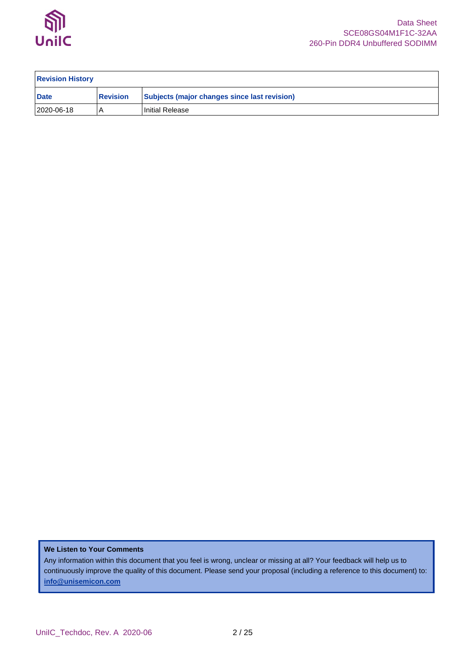

| <b>Revision History</b> |                 |                                              |  |  |  |  |  |
|-------------------------|-----------------|----------------------------------------------|--|--|--|--|--|
| <b>Date</b>             | <b>Revision</b> | Subjects (major changes since last revision) |  |  |  |  |  |
| 2020-06-18              |                 | Initial Release                              |  |  |  |  |  |

### **We Listen to Your Comments**

Any information within this document that you feel is wrong, unclear or missing at all? Your feedback will help us to continuously improve the quality of this document. Please send your proposal (including a reference to this document) to: **[info@unisemicon.com](mailto:info@scsemicon.com)**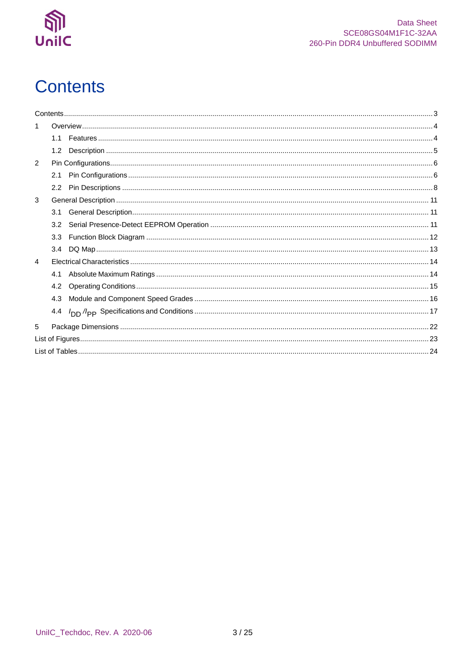

# <span id="page-2-0"></span>**Contents**

| 1              |     |  |
|----------------|-----|--|
|                | 1.1 |  |
|                | 1.2 |  |
| $\overline{2}$ |     |  |
|                | 2.1 |  |
|                |     |  |
| 3              |     |  |
|                | 3.1 |  |
|                | 3.2 |  |
|                | 3.3 |  |
|                | 3.4 |  |
| $\overline{4}$ |     |  |
|                | 4.1 |  |
|                | 4.2 |  |
|                | 4.3 |  |
|                | 4.4 |  |
| 5              |     |  |
|                |     |  |
|                |     |  |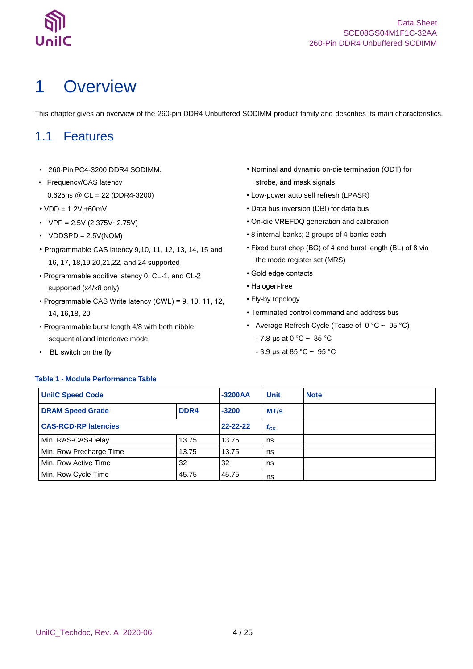

# <span id="page-3-0"></span>1 Overview

This chapter gives an overview of the 260-pin DDR4 Unbuffered SODIMM product family and describes its main characteristics.

## <span id="page-3-1"></span>1.1 Features

- 260-Pin PC4-3200 DDR4 SODIMM.
- Frequency/CAS latency 0.625ns @ CL = 22 (DDR4-3200)
- $\cdot$  VDD = 1.2V  $\pm$ 60mV
- $VPP = 2.5V (2.375V 2.75V)$
- $VDDSPD = 2.5V(NOM)$
- Programmable CAS latency 9,10, 11, 12, 13, 14, 15 and 16, 17, 18,19 20,21,22, and 24 supported
- Programmable additive latency 0, CL-1, and CLsupported (x4/x8 only)
- Programmable CAS Write latency (CWL) = 9, 10, 11, 12, 14, 16,18, 20
- Programmable burst length 4/8 with both nibble sequential and interleave mode
- BL switch on the fly
- Nominal and dynamic on-die termination (ODT) for strobe, and mask signals
- Low-power auto self refresh (LPASR)
- Data bus inversion (DBI) for data bus
- On-die VREFDQ generation and calibration
- 8 internal banks; 2 groups of 4 banks each
- Fixed burst chop (BC) of 4 and burst length (BL) of 8 via the mode register set (MRS)
- Gold edge contacts
- Halogen-free
- Fly-by topology
- Terminated control command and address bus
- Average Refresh Cycle (Tcase of  $0 °C \sim 95 °C$ )
	- $7.8 \,\mu s$  at 0 °C ~ 85 °C
	- 3.9 μs at 85 °C ~ 95 °C

### <span id="page-3-2"></span>**Table 1 - Module Performance Table**

| <b>UnilC Speed Code</b>     |          | $-3200AA$ | <b>Unit</b> | <b>Note</b> |
|-----------------------------|----------|-----------|-------------|-------------|
| <b>DRAM Speed Grade</b>     | $-3200$  | MT/s      |             |             |
| <b>CAS-RCD-RP latencies</b> | 22-22-22 | $t_{CK}$  |             |             |
| Min. RAS-CAS-Delay          | 13.75    | 13.75     | ns          |             |
| Min. Row Precharge Time     | 13.75    | 13.75     | ns          |             |
| Min. Row Active Time        | 32       | ns        |             |             |
| Min. Row Cycle Time         | 45.75    | 45.75     | ns          |             |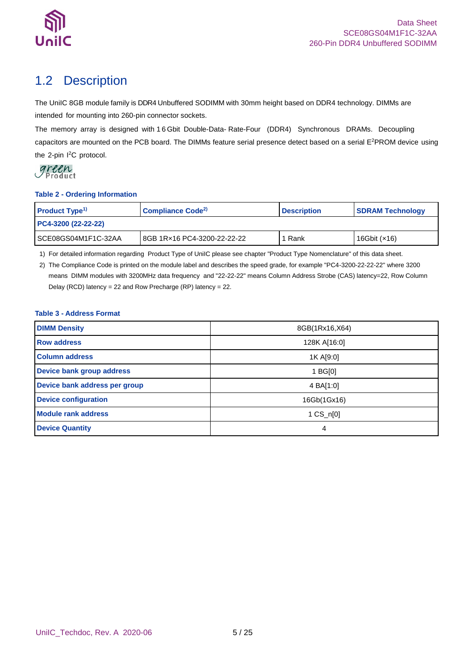

## <span id="page-4-0"></span>1.2 Description

The UniIC 8GB module family is DDR4 Unbuffered SODIMM with 30mm height based on DDR4 technology. DIMMs are intended for mounting into 260-pin connector sockets.

The memory array is designed with 1 6 Gbit Double-Data- Rate-Four (DDR4) Synchronous DRAMs. Decoupling capacitors are mounted on the PCB board. The DIMMs feature serial presence detect based on a serial E <sup>2</sup>PROM device using the 2-pin I<sup>2</sup>C protocol.

#### <span id="page-4-1"></span>**Table 2 - Ordering Information**

| <b>Product Type<sup>1)</sup></b>                    | Compliance Code <sup>2)</sup> | <b>Description</b> | <b>SDRAM Technology</b> |  |
|-----------------------------------------------------|-------------------------------|--------------------|-------------------------|--|
| PC4-3200 (22-22-22)                                 |                               |                    |                         |  |
| ISCE08GS04M1F1C-32AA<br>8GB 1Rx16 PC4-3200-22-22-22 |                               | Rank               | 16Gbit $(x16)$          |  |

1) For detailed information regarding Product Type of UniIC please see chapter "Product Type Nomenclature" of this data sheet.

2) The Compliance Code is printed on the module label and describes the speed grade, for example "PC4-3200-22-22-22" where 3200 means DIMM modules with 3200MHz data frequency and "22-22-22" means Column Address Strobe (CAS) latency=22, Row Column Delay (RCD) latency = 22 and Row Precharge (RP) latency = 22.

### <span id="page-4-2"></span>**Table 3 - Address Format**

| <b>DIMM Density</b>           | 8GB(1Rx16,X64)      |
|-------------------------------|---------------------|
| <b>Row address</b>            | 128K A[16:0]        |
| <b>Column address</b>         | 1K A[9:0]           |
| Device bank group address     | 1 BG[0]             |
| Device bank address per group | 4 BA[1:0]           |
| <b>Device configuration</b>   | 16Gb(1Gx16)         |
| <b>Module rank address</b>    | $1 \text{ CS}$ n[0] |
| <b>Device Quantity</b>        | 4                   |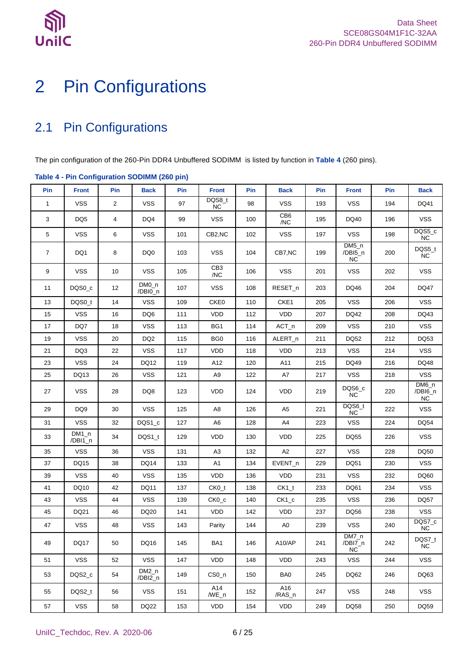

# <span id="page-5-0"></span>2 Pin Configurations

## <span id="page-5-1"></span>2.1 Pin Configurations

The pin configuration of the 260-Pin DDR4 Unbuffered SODIMM is listed by function in **[Table 4](#page-5-2)** (260 pins).

|                | rable + - Fin Conniguration SODIMM (200 pm) |                |                    |     |                        |     |                        |     |                                 |     |                                  |
|----------------|---------------------------------------------|----------------|--------------------|-----|------------------------|-----|------------------------|-----|---------------------------------|-----|----------------------------------|
| Pin            | <b>Front</b>                                | Pin            | <b>Back</b>        | Pin | <b>Front</b>           | Pin | <b>Back</b>            | Pin | <b>Front</b>                    | Pin | <b>Back</b>                      |
| $\mathbf 1$    | <b>VSS</b>                                  | $\overline{2}$ | <b>VSS</b>         | 97  | DQS8_t<br><b>NC</b>    | 98  | <b>VSS</b>             | 193 | <b>VSS</b>                      | 194 | DQ41                             |
| 3              | DQ <sub>5</sub>                             | 4              | DQ4                | 99  | <b>VSS</b>             | 100 | CB <sub>6</sub><br>/NC | 195 | DQ40                            | 196 | <b>VSS</b>                       |
| $\,$ 5 $\,$    | <b>VSS</b>                                  | 6              | <b>VSS</b>         | 101 | CB2,NC                 | 102 | <b>VSS</b>             | 197 | <b>VSS</b>                      | 198 | DQS5_c<br>$NC$                   |
| $\overline{7}$ | DQ1                                         | 8              | DQ0                | 103 | <b>VSS</b>             | 104 | CB7,NC                 | 199 | $DM5_n$<br>/DBI5_n<br><b>NC</b> | 200 | DQS5_t<br>$NC$                   |
| 9              | <b>VSS</b>                                  | 10             | <b>VSS</b>         | 105 | CB <sub>3</sub><br>/NC | 106 | <b>VSS</b>             | 201 | <b>VSS</b>                      | 202 | <b>VSS</b>                       |
| 11             | DQS0_c                                      | 12             | $DMO_n$<br>/DBI0_n | 107 | <b>VSS</b>             | 108 | RESET_n                | 203 | DQ46                            | 204 | <b>DQ47</b>                      |
| 13             | DQS0_t                                      | 14             | <b>VSS</b>         | 109 | CKE0                   | 110 | CKE1                   | 205 | <b>VSS</b>                      | 206 | <b>VSS</b>                       |
| 15             | <b>VSS</b>                                  | 16             | DQ6                | 111 | <b>VDD</b>             | 112 | <b>VDD</b>             | 207 | DQ42                            | 208 | DQ43                             |
| 17             | DQ7                                         | 18             | <b>VSS</b>         | 113 | BG1                    | 114 | $ACT_n$                | 209 | <b>VSS</b>                      | 210 | <b>VSS</b>                       |
| 19             | <b>VSS</b>                                  | 20             | DQ <sub>2</sub>    | 115 | BG <sub>0</sub>        | 116 | ALERT_n                | 211 | DQ52                            | 212 | DQ53                             |
| 21             | DQ3                                         | 22             | <b>VSS</b>         | 117 | <b>VDD</b>             | 118 | <b>VDD</b>             | 213 | <b>VSS</b>                      | 214 | <b>VSS</b>                       |
| 23             | <b>VSS</b>                                  | 24             | DQ12               | 119 | A12                    | 120 | A11                    | 215 | DQ49                            | 216 | DQ48                             |
| 25             | DQ13                                        | 26             | <b>VSS</b>         | 121 | A <sub>9</sub>         | 122 | A7                     | 217 | <b>VSS</b>                      | 218 | <b>VSS</b>                       |
| 27             | <b>VSS</b>                                  | 28             | DQ8                | 123 | <b>VDD</b>             | 124 | <b>VDD</b>             | 219 | DQS6_c<br><b>NC</b>             | 220 | $DM6_n$<br>/DBI6_n<br>${\sf NC}$ |
| 29             | DQ <sub>9</sub>                             | 30             | <b>VSS</b>         | 125 | A8                     | 126 | A <sub>5</sub>         | 221 | DQS6_t<br><b>NC</b>             | 222 | <b>VSS</b>                       |
| 31             | <b>VSS</b>                                  | 32             | DQS1_c             | 127 | A <sub>6</sub>         | 128 | A4                     | 223 | <b>VSS</b>                      | 224 | DQ54                             |
| 33             | $DM1_n$<br>/DBI1_n                          | 34             | $DQS1_t$           | 129 | <b>VDD</b>             | 130 | <b>VDD</b>             | 225 | DQ55                            | 226 | <b>VSS</b>                       |
| 35             | <b>VSS</b>                                  | 36             | <b>VSS</b>         | 131 | A <sub>3</sub>         | 132 | A2                     | 227 | <b>VSS</b>                      | 228 | DQ50                             |
| 37             | DQ15                                        | 38             | <b>DQ14</b>        | 133 | A <sub>1</sub>         | 134 | $EVENT_n$              | 229 | DQ51                            | 230 | <b>VSS</b>                       |
| 39             | <b>VSS</b>                                  | 40             | <b>VSS</b>         | 135 | VDD                    | 136 | <b>VDD</b>             | 231 | <b>VSS</b>                      | 232 | DQ60                             |
| 41             | DQ10                                        | 42             | DQ11               | 137 | $CKO_t$                | 138 | $CK1_t$                | 233 | DQ61                            | 234 | <b>VSS</b>                       |
| 43             | <b>VSS</b>                                  | 44             | <b>VSS</b>         | 139 | $CKO_{c}$              | 140 | $CK1_c$                | 235 | <b>VSS</b>                      | 236 | <b>DQ57</b>                      |
| 45             | DQ21                                        | 46             | DQ20               | 141 | VDD                    | 142 | VDD                    | 237 | DQ56                            | 238 | <b>VSS</b>                       |
| 47             | <b>VSS</b>                                  | 48             | <b>VSS</b>         | 143 | Parity                 | 144 | A <sub>0</sub>         | 239 | <b>VSS</b>                      | 240 | DQS7_c<br><b>NC</b>              |
| 49             | DQ17                                        | 50             | DQ16               | 145 | BA1                    | 146 | A10/AP                 | 241 | DM7_n<br>/DBI7_n<br><b>NC</b>   | 242 | DQS7_t<br>NC.                    |
| 51             | <b>VSS</b>                                  | 52             | <b>VSS</b>         | 147 | <b>VDD</b>             | 148 | <b>VDD</b>             | 243 | <b>VSS</b>                      | 244 | <b>VSS</b>                       |
| 53             | DQS2 c                                      | 54             | DM2_n<br>/DBI2_n   | 149 | $CSO_n$                | 150 | BA0                    | 245 | DQ62                            | 246 | DQ63                             |
| 55             | DQS2_t                                      | 56             | <b>VSS</b>         | 151 | A14<br>$/WE_{n}$       | 152 | A16<br>/RAS_n          | 247 | <b>VSS</b>                      | 248 | <b>VSS</b>                       |
| 57             | <b>VSS</b>                                  | 58             | <b>DQ22</b>        | 153 | VDD                    | 154 | VDD                    | 249 | DQ58                            | 250 | DQ59                             |

### <span id="page-5-2"></span>**Table 4 - Pin Configuration SODIMM (260 pin)**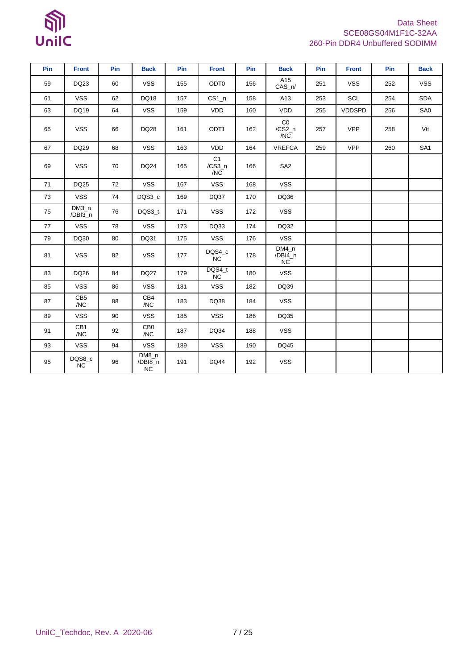# $\mathbb{S}$ UnilC

### Data Sheet SCE08GS04M1F1C-32AA 260-Pin DDR4 Unbuffered SODIMM

| Pin | <b>Front</b>           | Pin | <b>Back</b>            | Pin | <b>Front</b>                      | Pin | <b>Back</b>                     | Pin | <b>Front</b>  | Pin | <b>Back</b>     |
|-----|------------------------|-----|------------------------|-----|-----------------------------------|-----|---------------------------------|-----|---------------|-----|-----------------|
| 59  | DQ23                   | 60  | <b>VSS</b>             | 155 | ODT <sub>0</sub>                  | 156 | A15<br>$CAS_n/$                 | 251 | <b>VSS</b>    | 252 | <b>VSS</b>      |
| 61  | <b>VSS</b>             | 62  | DQ18                   | 157 | $CS1_n$                           | 158 | A13                             | 253 | SCL           | 254 | <b>SDA</b>      |
| 63  | DQ19                   | 64  | <b>VSS</b>             | 159 | VDD                               | 160 | <b>VDD</b>                      | 255 | <b>VDDSPD</b> | 256 | SA0             |
| 65  | <b>VSS</b>             | 66  | <b>DQ28</b>            | 161 | ODT <sub>1</sub>                  | 162 | Co<br>$/CS2_n$<br>/NC           | 257 | <b>VPP</b>    | 258 | Vtt             |
| 67  | DQ29                   | 68  | <b>VSS</b>             | 163 | VDD                               | 164 | <b>VREFCA</b>                   | 259 | <b>VPP</b>    | 260 | SA <sub>1</sub> |
| 69  | <b>VSS</b>             | 70  | <b>DQ24</b>            | 165 | C <sub>1</sub><br>$/CS3_n$<br>/NC | 166 | SA <sub>2</sub>                 |     |               |     |                 |
| 71  | DQ25                   | 72  | <b>VSS</b>             | 167 | <b>VSS</b>                        | 168 | <b>VSS</b>                      |     |               |     |                 |
| 73  | <b>VSS</b>             | 74  | DQS3_c                 | 169 | DQ37                              | 170 | DQ36                            |     |               |     |                 |
| 75  | $DM3_n$<br>/DBI3_n     | 76  | DQS3_t                 | 171 | <b>VSS</b>                        | 172 | <b>VSS</b>                      |     |               |     |                 |
| 77  | <b>VSS</b>             | 78  | <b>VSS</b>             | 173 | DQ33                              | 174 | DQ32                            |     |               |     |                 |
| 79  | DQ30                   | 80  | DQ31                   | 175 | <b>VSS</b>                        | 176 | <b>VSS</b>                      |     |               |     |                 |
| 81  | <b>VSS</b>             | 82  | <b>VSS</b>             | 177 | DQS4_c<br><b>NC</b>               | 178 | $DM4_n$<br>/DBI4_n<br><b>NC</b> |     |               |     |                 |
| 83  | DQ26                   | 84  | <b>DQ27</b>            | 179 | DQS4_t<br>NC                      | 180 | <b>VSS</b>                      |     |               |     |                 |
| 85  | <b>VSS</b>             | 86  | <b>VSS</b>             | 181 | <b>VSS</b>                        | 182 | DQ39                            |     |               |     |                 |
| 87  | CB <sub>5</sub><br>/NC | 88  | CB4<br>/NC             | 183 | DQ38                              | 184 | <b>VSS</b>                      |     |               |     |                 |
| 89  | <b>VSS</b>             | 90  | <b>VSS</b>             | 185 | <b>VSS</b>                        | 186 | DQ35                            |     |               |     |                 |
| 91  | CB1<br>/NC             | 92  | CB <sub>0</sub><br>/NC | 187 | DQ34                              | 188 | <b>VSS</b>                      |     |               |     |                 |
| 93  | <b>VSS</b>             | 94  | <b>VSS</b>             | 189 | <b>VSS</b>                        | 190 | DQ45                            |     |               |     |                 |
| 95  | DQS8_c<br>NC           | 96  | DM8_n<br>/DBI8_n<br>NC | 191 | <b>DQ44</b>                       | 192 | <b>VSS</b>                      |     |               |     |                 |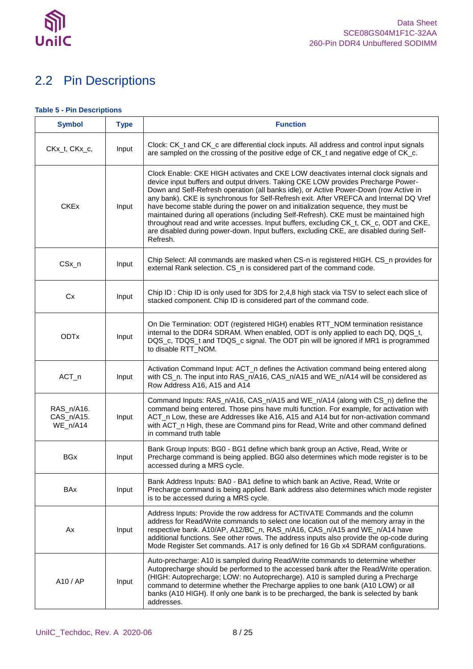

## <span id="page-7-0"></span>2.2 Pin Descriptions

#### <span id="page-7-1"></span>**Table 5 - Pin Descriptions**

| <b>Symbol</b>                        | <b>Type</b> | <b>Function</b>                                                                                                                                                                                                                                                                                                                                                                                                                                                                                                                                                                                                                                                                                                                           |
|--------------------------------------|-------------|-------------------------------------------------------------------------------------------------------------------------------------------------------------------------------------------------------------------------------------------------------------------------------------------------------------------------------------------------------------------------------------------------------------------------------------------------------------------------------------------------------------------------------------------------------------------------------------------------------------------------------------------------------------------------------------------------------------------------------------------|
| CKx_t, CKx_c,                        | Input       | Clock: CK_t and CK_c are differential clock inputs. All address and control input signals<br>are sampled on the crossing of the positive edge of CK_t and negative edge of CK_c.                                                                                                                                                                                                                                                                                                                                                                                                                                                                                                                                                          |
| <b>CKEx</b>                          | Input       | Clock Enable: CKE HIGH activates and CKE LOW deactivates internal clock signals and<br>device input buffers and output drivers. Taking CKE LOW provides Precharge Power-<br>Down and Self-Refresh operation (all banks idle), or Active Power-Down (row Active in<br>any bank). CKE is synchronous for Self-Refresh exit. After VREFCA and Internal DQ Vref<br>have become stable during the power on and initialization sequence, they must be<br>maintained during all operations (including Self-Refresh). CKE must be maintained high<br>throughout read and write accesses. Input buffers, excluding CK_t, CK_c, ODT and CKE,<br>are disabled during power-down. Input buffers, excluding CKE, are disabled during Self-<br>Refresh. |
| CSx_n                                | Input       | Chip Select: All commands are masked when CS-n is registered HIGH. CS_n provides for<br>external Rank selection. CS_n is considered part of the command code.                                                                                                                                                                                                                                                                                                                                                                                                                                                                                                                                                                             |
| <b>Cx</b>                            | Input       | Chip ID: Chip ID is only used for 3DS for 2,4,8 high stack via TSV to select each slice of<br>stacked component. Chip ID is considered part of the command code.                                                                                                                                                                                                                                                                                                                                                                                                                                                                                                                                                                          |
| <b>ODTx</b>                          | Input       | On Die Termination: ODT (registered HIGH) enables RTT_NOM termination resistance<br>internal to the DDR4 SDRAM. When enabled, ODT is only applied to each DQ, DQS_t,<br>DQS_c, TDQS_t and TDQS_c signal. The ODT pin will be ignored if MR1 is programmed<br>to disable RTT_NOM.                                                                                                                                                                                                                                                                                                                                                                                                                                                          |
| ACT_n                                | Input       | Activation Command Input: ACT_n defines the Activation command being entered along<br>with CS_n. The input into RAS_n/A16, CAS_n/A15 and WE_n/A14 will be considered as<br>Row Address A16, A15 and A14                                                                                                                                                                                                                                                                                                                                                                                                                                                                                                                                   |
| RAS_n/A16.<br>CAS_n/A15.<br>WE_n/A14 | Input       | Command Inputs: RAS_n/A16, CAS_n/A15 and WE_n/A14 (along with CS_n) define the<br>command being entered. Those pins have multi function. For example, for activation with<br>ACT_n Low, these are Addresses like A16, A15 and A14 but for non-activation command<br>with ACT_n High, these are Command pins for Read, Write and other command defined<br>in command truth table                                                                                                                                                                                                                                                                                                                                                           |
| <b>BGx</b>                           | Input       | Bank Group Inputs: BG0 - BG1 define which bank group an Active, Read, Write or<br>Precharge command is being applied. BG0 also determines which mode register is to be<br>accessed during a MRS cycle.                                                                                                                                                                                                                                                                                                                                                                                                                                                                                                                                    |
| <b>BAx</b>                           | Input       | Bank Address Inputs: BA0 - BA1 define to which bank an Active, Read, Write or<br>Precharge command is being applied. Bank address also determines which mode register<br>is to be accessed during a MRS cycle.                                                                                                                                                                                                                                                                                                                                                                                                                                                                                                                            |
| Ax                                   | Input       | Address Inputs: Provide the row address for ACTIVATE Commands and the column<br>address for Read/Write commands to select one location out of the memory array in the<br>respective bank. A10/AP, A12/BC_n, RAS_n/A16, CAS_n/A15 and WE_n/A14 have<br>additional functions. See other rows. The address inputs also provide the op-code during<br>Mode Register Set commands. A17 is only defined for 16 Gb x4 SDRAM configurations.                                                                                                                                                                                                                                                                                                      |
| A10 / AP                             | Input       | Auto-precharge: A10 is sampled during Read/Write commands to determine whether<br>Autoprecharge should be performed to the accessed bank after the Read/Write operation.<br>(HIGH: Autoprecharge; LOW: no Autoprecharge). A10 is sampled during a Precharge<br>command to determine whether the Precharge applies to one bank (A10 LOW) or all<br>banks (A10 HIGH). If only one bank is to be precharged, the bank is selected by bank<br>addresses.                                                                                                                                                                                                                                                                                      |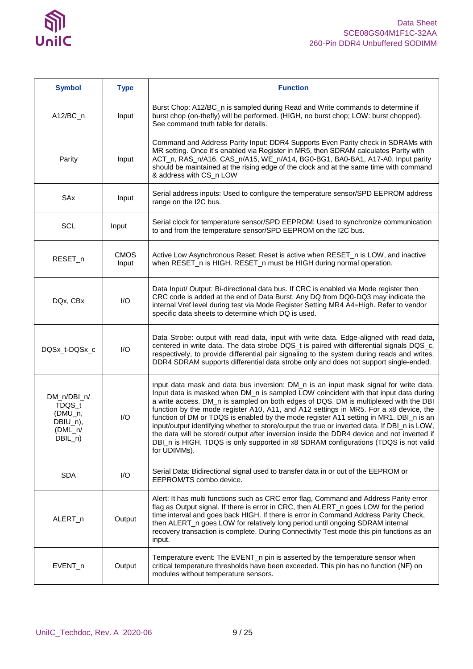

| <b>Symbol</b>                                                          | <b>Type</b>          | <b>Function</b>                                                                                                                                                                                                                                                                                                                                                                                                                                                                                                                                                                                                                                                                                                                                              |
|------------------------------------------------------------------------|----------------------|--------------------------------------------------------------------------------------------------------------------------------------------------------------------------------------------------------------------------------------------------------------------------------------------------------------------------------------------------------------------------------------------------------------------------------------------------------------------------------------------------------------------------------------------------------------------------------------------------------------------------------------------------------------------------------------------------------------------------------------------------------------|
| $A12/BC_n$                                                             | Input                | Burst Chop: A12/BC_n is sampled during Read and Write commands to determine if<br>burst chop (on-thefly) will be performed. (HIGH, no burst chop; LOW: burst chopped).<br>See command truth table for details.                                                                                                                                                                                                                                                                                                                                                                                                                                                                                                                                               |
| Parity                                                                 | Input                | Command and Address Parity Input: DDR4 Supports Even Parity check in SDRAMs with<br>MR setting. Once it's enabled via Register in MR5, then SDRAM calculates Parity with<br>ACT_n, RAS_n/A16, CAS_n/A15, WE_n/A14, BG0-BG1, BA0-BA1, A17-A0. Input parity<br>should be maintained at the rising edge of the clock and at the same time with command<br>& address with CS_n LOW                                                                                                                                                                                                                                                                                                                                                                               |
| SAx                                                                    | Input                | Serial address inputs: Used to configure the temperature sensor/SPD EEPROM address<br>range on the I2C bus.                                                                                                                                                                                                                                                                                                                                                                                                                                                                                                                                                                                                                                                  |
| <b>SCL</b>                                                             | Input                | Serial clock for temperature sensor/SPD EEPROM: Used to synchronize communication<br>to and from the temperature sensor/SPD EEPROM on the I2C bus.                                                                                                                                                                                                                                                                                                                                                                                                                                                                                                                                                                                                           |
| RESET_n                                                                | <b>CMOS</b><br>Input | Active Low Asynchronous Reset: Reset is active when RESET_n is LOW, and inactive<br>when RESET_n is HIGH. RESET_n must be HIGH during normal operation.                                                                                                                                                                                                                                                                                                                                                                                                                                                                                                                                                                                                      |
| DQx, CBx                                                               | I/O                  | Data Input/ Output: Bi-directional data bus. If CRC is enabled via Mode register then<br>CRC code is added at the end of Data Burst. Any DQ from DQ0-DQ3 may indicate the<br>internal Vref level during test via Mode Register Setting MR4 A4=High. Refer to vendor<br>specific data sheets to determine which DQ is used.                                                                                                                                                                                                                                                                                                                                                                                                                                   |
| DQSx_t-DQSx_c                                                          | I/O                  | Data Strobe: output with read data, input with write data. Edge-aligned with read data,<br>centered in write data. The data strobe DQS_t is paired with differential signals DQS_c,<br>respectively, to provide differential pair signaling to the system during reads and writes.<br>DDR4 SDRAM supports differential data strobe only and does not support single-ended.                                                                                                                                                                                                                                                                                                                                                                                   |
| DM_n/DBI_n/<br>TDQS_t<br>(DMU_n,<br>DBIU_n),<br>$(DML_n/$<br>$DBIL_n)$ | I/O                  | Input data mask and data bus inversion: DM_n is an input mask signal for write data.<br>Input data is masked when DM_n is sampled LOW coincident with that input data during<br>a write access. DM_n is sampled on both edges of DQS. DM is multiplexed with the DBI<br>function by the mode register A10, A11, and A12 settings in MR5. For a x8 device, the<br>function of DM or TDQS is enabled by the mode register A11 setting in MR1. DBI_n is an<br>input/output identifying whether to store/output the true or inverted data. If DBI_n is LOW,<br>the data will be stored/ output after inversion inside the DDR4 device and not inverted if<br>DBI_n is HIGH. TDQS is only supported in x8 SDRAM configurations (TDQS is not valid<br>for UDIMMs). |
| <b>SDA</b>                                                             | I/O                  | Serial Data: Bidirectional signal used to transfer data in or out of the EEPROM or<br>EEPROM/TS combo device.                                                                                                                                                                                                                                                                                                                                                                                                                                                                                                                                                                                                                                                |
| ALERT_n                                                                | Output               | Alert: It has multi functions such as CRC error flag, Command and Address Parity error<br>flag as Output signal. If there is error in CRC, then ALERT_n goes LOW for the period<br>time interval and goes back HIGH. If there is error in Command Address Parity Check,<br>then ALERT_n goes LOW for relatively long period until ongoing SDRAM internal<br>recovery transaction is complete. During Connectivity Test mode this pin functions as an<br>input.                                                                                                                                                                                                                                                                                               |
| EVENT_n                                                                | Output               | Temperature event: The EVENT_n pin is asserted by the temperature sensor when<br>critical temperature thresholds have been exceeded. This pin has no function (NF) on<br>modules without temperature sensors.                                                                                                                                                                                                                                                                                                                                                                                                                                                                                                                                                |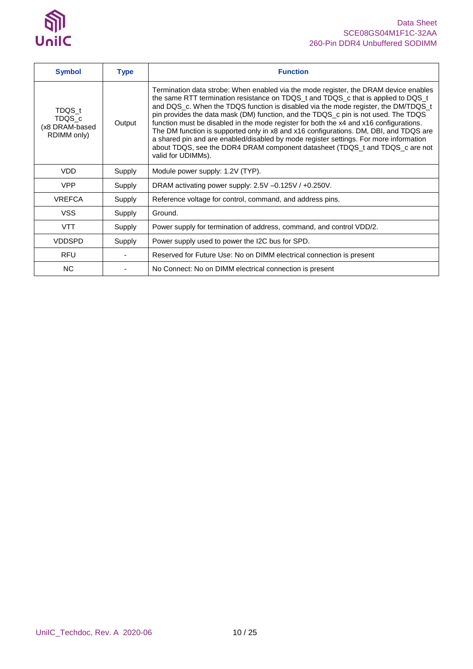

| <b>Symbol</b>                                     | <b>Type</b> | <b>Function</b>                                                                                                                                                                                                                                                                                                                                                                                                                                                                                                                                                                                                                                                                                                                         |
|---------------------------------------------------|-------------|-----------------------------------------------------------------------------------------------------------------------------------------------------------------------------------------------------------------------------------------------------------------------------------------------------------------------------------------------------------------------------------------------------------------------------------------------------------------------------------------------------------------------------------------------------------------------------------------------------------------------------------------------------------------------------------------------------------------------------------------|
| TDQS t<br>TDQS_c<br>(x8 DRAM-based<br>RDIMM only) | Output      | Termination data strobe: When enabled via the mode register, the DRAM device enables<br>the same RTT termination resistance on TDQS_t and TDQS_c that is applied to DQS_t<br>and DQS_c. When the TDQS function is disabled via the mode register, the DM/TDQS_t<br>pin provides the data mask (DM) function, and the TDQS_c pin is not used. The TDQS<br>function must be disabled in the mode register for both the x4 and x16 configurations.<br>The DM function is supported only in x8 and x16 configurations. DM, DBI, and TDQS are<br>a shared pin and are enabled/disabled by mode register settings. For more information<br>about TDQS, see the DDR4 DRAM component datasheet (TDQS_t and TDQS_c are not<br>valid for UDIMMs). |
| <b>VDD</b>                                        | Supply      | Module power supply: 1.2V (TYP).                                                                                                                                                                                                                                                                                                                                                                                                                                                                                                                                                                                                                                                                                                        |
| <b>VPP</b>                                        | Supply      | DRAM activating power supply: 2.5V -0.125V / +0.250V.                                                                                                                                                                                                                                                                                                                                                                                                                                                                                                                                                                                                                                                                                   |
| <b>VREFCA</b>                                     | Supply      | Reference voltage for control, command, and address pins.                                                                                                                                                                                                                                                                                                                                                                                                                                                                                                                                                                                                                                                                               |
| <b>VSS</b>                                        | Supply      | Ground.                                                                                                                                                                                                                                                                                                                                                                                                                                                                                                                                                                                                                                                                                                                                 |
| <b>VTT</b>                                        | Supply      | Power supply for termination of address, command, and control VDD/2.                                                                                                                                                                                                                                                                                                                                                                                                                                                                                                                                                                                                                                                                    |
| <b>VDDSPD</b>                                     | Supply      | Power supply used to power the I2C bus for SPD.                                                                                                                                                                                                                                                                                                                                                                                                                                                                                                                                                                                                                                                                                         |
| <b>RFU</b>                                        |             | Reserved for Future Use: No on DIMM electrical connection is present                                                                                                                                                                                                                                                                                                                                                                                                                                                                                                                                                                                                                                                                    |
| <b>NC</b>                                         |             | No Connect: No on DIMM electrical connection is present                                                                                                                                                                                                                                                                                                                                                                                                                                                                                                                                                                                                                                                                                 |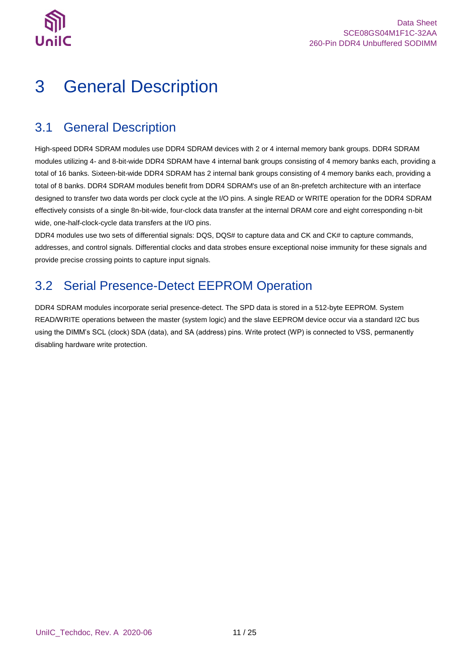

# <span id="page-10-0"></span>3 General Description

### <span id="page-10-1"></span>3.1 General Description

High-speed DDR4 SDRAM modules use DDR4 SDRAM devices with 2 or 4 internal memory bank groups. DDR4 SDRAM modules utilizing 4- and 8-bit-wide DDR4 SDRAM have 4 internal bank groups consisting of 4 memory banks each, providing a total of 16 banks. Sixteen-bit-wide DDR4 SDRAM has 2 internal bank groups consisting of 4 memory banks each, providing a total of 8 banks. DDR4 SDRAM modules benefit from DDR4 SDRAM's use of an 8n-prefetch architecture with an interface designed to transfer two data words per clock cycle at the I/O pins. A single READ or WRITE operation for the DDR4 SDRAM effectively consists of a single 8n-bit-wide, four-clock data transfer at the internal DRAM core and eight corresponding n-bit wide, one-half-clock-cycle data transfers at the I/O pins.

DDR4 modules use two sets of differential signals: DQS, DQS# to capture data and CK and CK# to capture commands, addresses, and control signals. Differential clocks and data strobes ensure exceptional noise immunity for these signals and provide precise crossing points to capture input signals.

## <span id="page-10-2"></span>3.2 Serial Presence-Detect EEPROM Operation

DDR4 SDRAM modules incorporate serial presence-detect. The SPD data is stored in a 512-byte EEPROM. System READ/WRITE operations between the master (system logic) and the slave EEPROM device occur via a standard I2C bus using the DIMM's SCL (clock) SDA (data), and SA (address) pins. Write protect (WP) is connected to VSS, permanently disabling hardware write protection.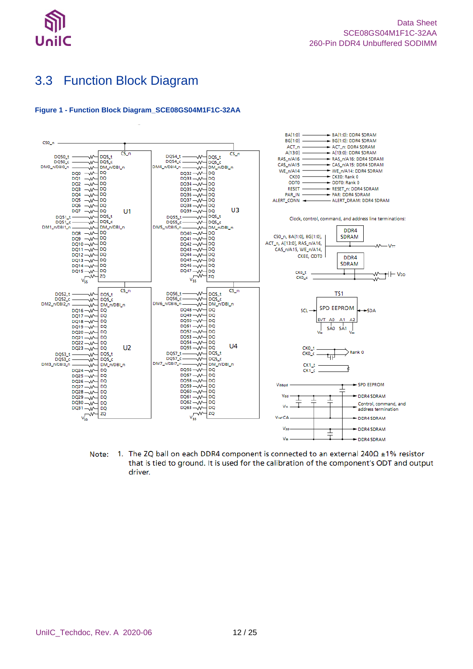

## <span id="page-11-0"></span>3.3 Function Block Diagram

#### <span id="page-11-1"></span>**Figure 1 - Function Block Diagram\_SCE08GS04M1F1C-32AA**



1. The ZQ ball on each DDR4 component is connected to an external  $240\Omega \pm 1\%$  resistor Note: that is tied to ground. It is used for the calibration of the component's ODT and output driver.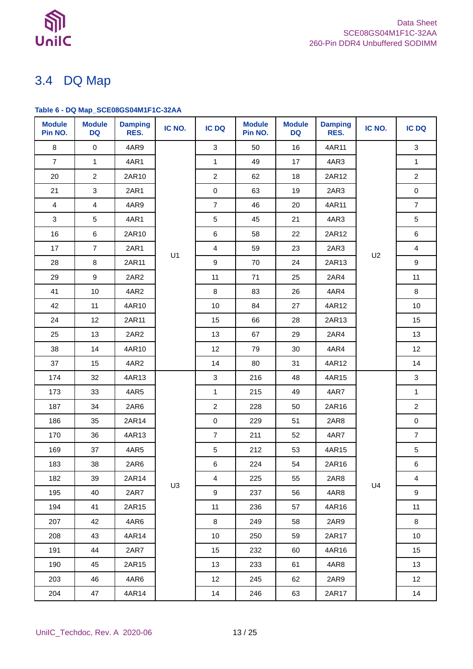

## <span id="page-12-0"></span>3.4 DQ Map

### <span id="page-12-1"></span>**Table 6 - DQ Map\_SCE08GS04M1F1C-32AA**

| <b>Module</b><br>Pin NO. | <b>Module</b><br><b>DQ</b> | <b>Damping</b><br>RES. | IC NO.         | <b>IC DQ</b>    | <b>Module</b><br>Pin NO. | <b>Module</b><br><b>DQ</b> | <b>Damping</b><br>RES. | IC NO. | <b>IC DQ</b>            |
|--------------------------|----------------------------|------------------------|----------------|-----------------|--------------------------|----------------------------|------------------------|--------|-------------------------|
| 8                        | $\mathbf 0$                | 4AR9                   |                | $\mathbf{3}$    | 50                       | 16                         | 4AR11                  |        | 3                       |
| $\overline{7}$           | 1                          | 4AR1                   |                | $\mathbf{1}$    | 49                       | 17                         | 4AR3                   |        | $\mathbf{1}$            |
| 20                       | $\overline{2}$             | 2AR10                  |                | $\overline{2}$  | 62                       | 18                         | 2AR12                  |        | $\overline{2}$          |
| 21                       | $\sqrt{3}$                 | 2AR1                   |                | $\pmb{0}$       | 63                       | 19                         | 2AR3                   |        | $\pmb{0}$               |
| 4                        | $\overline{\mathbf{4}}$    | 4AR9                   |                | $\overline{7}$  | 46                       | 20                         | 4AR11                  |        | $\overline{7}$          |
| 3                        | 5                          | 4AR1                   |                | $\sqrt{5}$      | 45                       | 21                         | 4AR3                   |        | 5                       |
| 16                       | $\,6\,$                    | 2AR10                  |                | 6               | 58                       | 22                         | 2AR12                  |        | $\,6\,$                 |
| 17                       | $\overline{7}$             | 2AR1                   | U1             | $\overline{4}$  | 59                       | 23                         | 2AR3                   | U2     | $\overline{\mathbf{4}}$ |
| 28                       | 8                          | 2AR11                  |                | 9               | 70                       | 24                         | 2AR13                  |        | 9                       |
| 29                       | $\boldsymbol{9}$           | 2AR2                   |                | 11              | 71                       | 25                         | 2AR4                   |        | 11                      |
| 41                       | $10$                       | 4AR2                   |                | 8               | 83                       | 26                         | 4AR4                   |        | 8                       |
| 42                       | 11                         | 4AR10                  |                | 10              | 84                       | 27                         | 4AR12                  |        | 10                      |
| 24                       | 12                         | 2AR11                  |                | 15              | 66                       | 28                         | 2AR13                  |        | 15                      |
| 25                       | 13                         | 2AR2                   |                | 13              | 67                       | 29                         | 2AR4                   |        | 13                      |
| 38                       | 14                         | 4AR10                  |                | 12              | 79                       | 30                         | 4AR4                   |        | 12                      |
| 37                       | 15                         | 4AR2                   |                | 14              | 80                       | 31                         | 4AR12                  |        | 14                      |
| 174                      | 32                         | 4AR13                  |                | $\mathbf{3}$    | 216                      | 48                         | 4AR15                  |        | $\mathbf{3}$            |
| 173                      | 33                         | 4AR5                   |                | $\mathbf{1}$    | 215                      | 49                         | 4AR7                   |        | $\mathbf{1}$            |
| 187                      | 34                         | 2AR6                   |                | $\overline{2}$  | 228                      | 50                         | 2AR16                  |        | $\overline{2}$          |
| 186                      | 35                         | 2AR14                  |                | $\mathbf 0$     | 229                      | 51                         | 2AR8                   |        | $\mathsf{O}\xspace$     |
| 170                      | 36                         | 4AR13                  |                | $\overline{7}$  | 211                      | 52                         | 4AR7                   |        | $\overline{7}$          |
| 169                      | 37                         | 4AR5                   |                | $\sqrt{5}$      | 212                      | 53                         | 4AR15                  |        | $\,$ 5 $\,$             |
| 183                      | 38                         | 2AR6                   |                | 6               | 224                      | 54                         | 2AR16                  |        | 6                       |
| 182                      | 39                         | 2AR14                  | U <sub>3</sub> | 4               | 225                      | 55                         | 2AR8                   | U4     | $\overline{\mathbf{4}}$ |
| 195                      | 40                         | 2AR7                   |                | 9               | 237                      | 56                         | 4AR8                   |        | 9                       |
| 194                      | 41                         | 2AR15                  |                | 11              | 236                      | 57                         | 4AR16                  |        | 11                      |
| 207                      | 42                         | 4AR6                   |                | 8               | 249                      | 58                         | 2AR9                   |        | 8                       |
| 208                      | 43                         | 4AR14                  |                | 10 <sup>1</sup> | 250                      | 59                         | 2AR17                  |        | 10                      |
| 191                      | 44                         | 2AR7                   |                | 15              | 232                      | 60                         | 4AR16                  |        | 15                      |
| 190                      | 45                         | 2AR15                  |                | 13              | 233                      | 61                         | 4AR8                   |        | 13                      |
| 203                      | 46                         | 4AR6                   |                | 12              | 245                      | 62                         | 2AR9                   |        | 12 <sup>°</sup>         |
| 204                      | 47                         | 4AR14                  |                | 14              | 246                      | 63                         | 2AR17                  |        | 14                      |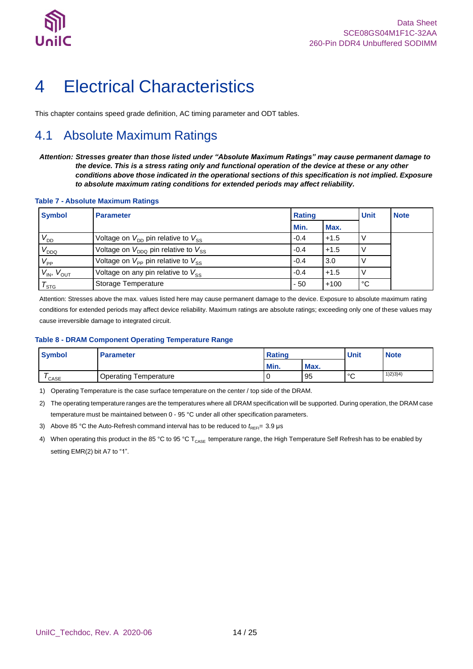

# <span id="page-13-0"></span>4 Electrical Characteristics

<span id="page-13-1"></span>This chapter contains speed grade definition, AC timing parameter and ODT tables.

## 4.1 Absolute Maximum Ratings

*Attention: Stresses greater than those listed under "Absolute Maximum Ratings" may cause permanent damage to the device. This is a stress rating only and functional operation of the device at these or any other conditions above those indicated in the operational sections of this specification is not implied. Exposure to absolute maximum rating conditions for extended periods may affect reliability.*

#### <span id="page-13-2"></span>**Table 7 - Absolute Maximum Ratings**

| <b>Symbol</b>         | <b>Parameter</b>                                           | <b>Rating</b> |        | <b>Unit</b> | <b>Note</b> |
|-----------------------|------------------------------------------------------------|---------------|--------|-------------|-------------|
|                       |                                                            | Min.          | Max.   |             |             |
| $V_{DD}$              | Voltage on $V_{\text{DD}}$ pin relative to $V_{\text{SS}}$ | $-0.4$        | $+1.5$ |             |             |
| $V_{DDQ}$             | Voltage on $V_{DDO}$ pin relative to $V_{SS}$              | $-0.4$        | $+1.5$ |             |             |
| $V_{\mathsf{PP}}$     | Voltage on $V_{\text{PP}}$ pin relative to $V_{\text{SS}}$ | $-0.4$        | 3.0    |             |             |
| $V_{IN}$ , $V_{OUT}$  | Voltage on any pin relative to $V_{SS}$                    | $-0.4$        | $+1.5$ |             |             |
| $\tau_{\textsf{src}}$ | Storage Temperature                                        | $-50$         | $+100$ | °C          |             |

.<br>Attention: Stresses above the max. values listed here may cause permanent damage to the device. Exposure to absolute maximum rating conditions for extended periods may affect device reliability. Maximum ratings are absolute ratings; exceeding only one of these values may cause irreversible damage to integrated circuit.

#### <span id="page-13-3"></span>**Table 8 - DRAM Component Operating Temperature Range**

| <b>Symbol</b> | <b>Parameter</b>             | Rating |      | <b>Unit</b>  | <b>Note</b> |
|---------------|------------------------------|--------|------|--------------|-------------|
|               |                              | Min.   | Max. |              |             |
| CASE          | <b>Operating Temperature</b> |        | 95   | $\circ$<br>ັ | 1(2)3(4)    |

1) Operating Temperature is the case surface temperature on the center / top side of the DRAM.

2) The operating temperature ranges are the temperatures where all DRAM specification will be supported. During operation, the DRAM case temperature must be maintained between 0 - 95 °C under all other specification parameters.

3) Above 85 °C the Auto-Refresh command interval has to be reduced to  $t_{REF}$  3.9 µs

4) When operating this product in the 85 °C to 95 °C T<sub>CASE</sub> temperature range, the High Temperature Self Refresh has to be enabled by setting EMR(2) bit A7 to "1".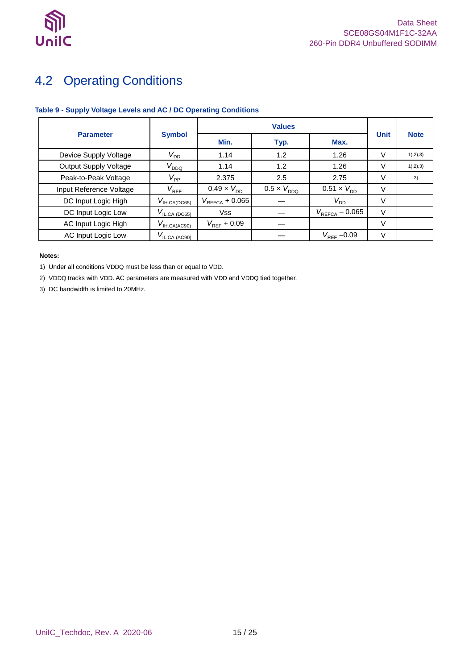

## <span id="page-14-0"></span>4.2 Operating Conditions

### <span id="page-14-1"></span>**Table 9 - Supply Voltage Levels and AC / DC Operating Conditions**

|                              |                                  | <b>Values</b>               |                      |                             |             |             |
|------------------------------|----------------------------------|-----------------------------|----------------------|-----------------------------|-------------|-------------|
| <b>Parameter</b>             | <b>Symbol</b>                    | Min.                        | Typ.                 | Max.                        | <b>Unit</b> | <b>Note</b> |
| Device Supply Voltage        | $V_{\mathsf{DD}}$                | 1.14                        | 1.2                  | 1.26                        | V           | 1), 2), 3)  |
| <b>Output Supply Voltage</b> | $V_{DDQ}$                        | 1.14                        | 1.2                  | 1.26                        | V           | 1), 2), 3)  |
| Peak-to-Peak Voltage         | $V_{\mathsf{PP}}$                | 2.375                       | 2.5                  | 2.75                        | V           | 3)          |
| Input Reference Voltage      | $V_{REF}$                        | $0.49 \times V_{\text{DD}}$ | $0.5 \times V_{DDO}$ | $0.51 \times V_{\text{DD}}$ | V           |             |
| DC Input Logic High          | $V_{\text{IH.CA(DC65)}}$         | $V_{\text{REFCA}} + 0.065$  |                      | $V_{DD}$                    | $\vee$      |             |
| DC Input Logic Low           | $V_{\text{IL.CA (D\text{C65})}}$ | <b>Vss</b>                  |                      | $V_{\text{REFCA}} - 0.065$  | V           |             |
| AC Input Logic High          | $V_{\text{IH.CA(AC90)}}$         | $V_{\text{REF}}$ + 0.09     |                      |                             | $\vee$      |             |
| AC Input Logic Low           | $V_{\text{IL,CA (AC90)}}$        |                             |                      | $V_{REF}$ –0.09             | V           |             |

#### **Notes:**

1) Under all conditions VDDQ must be less than or equal to VDD.

2) VDDQ tracks with VDD. AC parameters are measured with VDD and VDDQ tied together.

3) DC bandwidth is limited to 20MHz.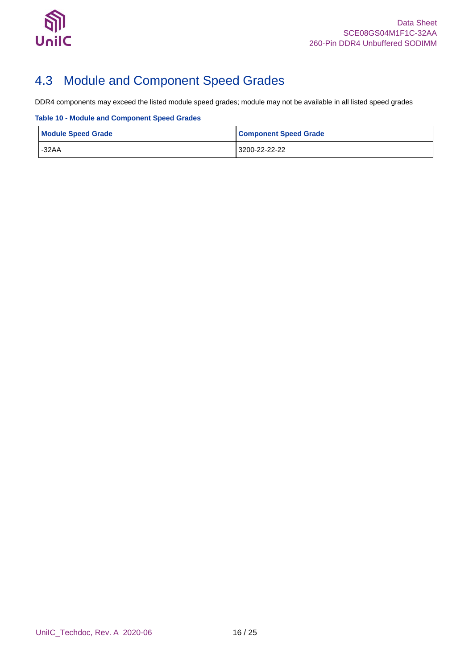

## <span id="page-15-0"></span>4.3 Module and Component Speed Grades

DDR4 components may exceed the listed module speed grades; module may not be available in all listed speed grades

<span id="page-15-1"></span>**Table 10 - Module and Component Speed Grades**

| <b>Module Speed Grade</b> | <b>Component Speed Grade</b> |
|---------------------------|------------------------------|
| $-32AA$                   | 3200-22-22-22                |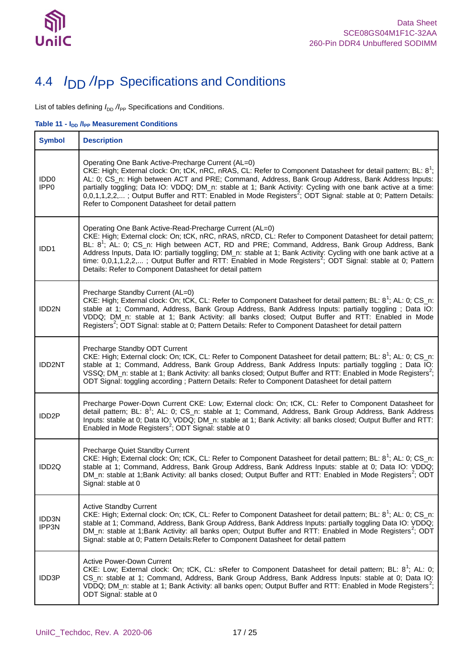

## <span id="page-16-0"></span>4.4 *I*DD */I*PP Specifications and Conditions

List of tables defining  $I_{\text{DD}}$  / $I_{\text{PP}}$  Specifications and Conditions.

<span id="page-16-1"></span>**Table 11 ·**  $I_{DD}$  **/I<sub>PP</sub> Measurement Conditions** 

| <b>Symbol</b>                        | <b>Description</b>                                                                                                                                                                                                                                                                                                                                                                                                                                                                                                                                                                            |
|--------------------------------------|-----------------------------------------------------------------------------------------------------------------------------------------------------------------------------------------------------------------------------------------------------------------------------------------------------------------------------------------------------------------------------------------------------------------------------------------------------------------------------------------------------------------------------------------------------------------------------------------------|
| IDD <sub>0</sub><br>IPP <sub>0</sub> | Operating One Bank Active-Precharge Current (AL=0)<br>CKE: High; External clock: On; tCK, nRC, nRAS, CL: Refer to Component Datasheet for detail pattern; BL: 8 <sup>1</sup> ;<br>AL: 0; CS_n: High between ACT and PRE; Command, Address, Bank Group Address, Bank Address Inputs:<br>partially toggling; Data IO: VDDQ; DM_n: stable at 1; Bank Activity: Cycling with one bank active at a time:<br>0,0,1,1,2,2,; Output Buffer and RTT: Enabled in Mode Registers <sup>2</sup> ; ODT Signal: stable at 0; Pattern Details:<br>Refer to Component Datasheet for detail pattern             |
| IDD <sub>1</sub>                     | Operating One Bank Active-Read-Precharge Current (AL=0)<br>CKE: High; External clock: On; tCK, nRC, nRAS, nRCD, CL: Refer to Component Datasheet for detail pattern;<br>BL: 8 <sup>1</sup> ; AL: 0; CS_n: High between ACT, RD and PRE; Command, Address, Bank Group Address, Bank<br>Address Inputs, Data IO: partially toggling; DM_n: stable at 1; Bank Activity: Cycling with one bank active at a<br>time: $0,0,1,1,2,2,$ ; Output Buffer and RTT: Enabled in Mode Registers <sup>2</sup> ; ODT Signal: stable at 0; Pattern<br>Details: Refer to Component Datasheet for detail pattern |
| IDD2N                                | Precharge Standby Current (AL=0)<br>CKE: High; External clock: On; tCK, CL: Refer to Component Datasheet for detail pattern; BL: 8 <sup>1</sup> ; AL: 0; CS_n:<br>stable at 1; Command, Address, Bank Group Address, Bank Address Inputs: partially toggling ; Data IO:<br>VDDQ; DM_n: stable at 1; Bank Activity: all banks closed; Output Buffer and RTT: Enabled in Mode<br>Registers <sup>2</sup> ; ODT Signal: stable at 0; Pattern Details: Refer to Component Datasheet for detail pattern                                                                                             |
| <b>IDD2NT</b>                        | Precharge Standby ODT Current<br>CKE: High; External clock: On; tCK, CL: Refer to Component Datasheet for detail pattern; BL: 8 <sup>1</sup> ; AL: 0; CS_n:<br>stable at 1; Command, Address, Bank Group Address, Bank Address Inputs: partially toggling; Data IO:<br>VSSQ; DM_n: stable at 1; Bank Activity: all banks closed; Output Buffer and RTT: Enabled in Mode Registers <sup>2</sup> ;<br>ODT Signal: toggling according ; Pattern Details: Refer to Component Datasheet for detail pattern                                                                                         |
| IDD <sub>2P</sub>                    | Precharge Power-Down Current CKE: Low; External clock: On; tCK, CL: Refer to Component Datasheet for<br>detail pattern; BL: 8 <sup>1</sup> ; AL: 0; CS_n: stable at 1; Command, Address, Bank Group Address, Bank Address<br>Inputs: stable at 0; Data IO: VDDQ; DM_n: stable at 1; Bank Activity: all banks closed; Output Buffer and RTT:<br>Enabled in Mode Registers <sup>2</sup> ; ODT Signal: stable at 0                                                                                                                                                                               |
| IDD <sub>2Q</sub>                    | Precharge Quiet Standby Current<br>CKE: High; External clock: On; tCK, CL: Refer to Component Datasheet for detail pattern; BL: 8 <sup>1</sup> ; AL: 0; CS_n:<br>stable at 1; Command, Address, Bank Group Address, Bank Address Inputs: stable at 0; Data IO: VDDQ;<br>DM_n: stable at 1;Bank Activity: all banks closed; Output Buffer and RTT: Enabled in Mode Registers <sup>2</sup> ; ODT<br>Signal: stable at 0                                                                                                                                                                         |
| IDD3N<br>IPP3N                       | <b>Active Standby Current</b><br>CKE: High; External clock: On; tCK, CL: Refer to Component Datasheet for detail pattern; BL: 8 <sup>1</sup> ; AL: 0; CS_n:<br>stable at 1; Command, Address, Bank Group Address, Bank Address Inputs: partially toggling Data IO: VDDQ;<br>DM_n: stable at 1;Bank Activity: all banks open; Output Buffer and RTT: Enabled in Mode Registers <sup>2</sup> ; ODT<br>Signal: stable at 0; Pattern Details: Refer to Component Datasheet for detail pattern                                                                                                     |
| IDD3P                                | <b>Active Power-Down Current</b><br>CKE: Low; External clock: On; tCK, CL: sRefer to Component Datasheet for detail pattern; BL: 8 <sup>1</sup> ; AL: 0;<br>CS_n: stable at 1; Command, Address, Bank Group Address, Bank Address Inputs: stable at 0; Data IO:<br>VDDQ; DM_n: stable at 1; Bank Activity: all banks open; Output Buffer and RTT: Enabled in Mode Registers <sup>2</sup> ;<br>ODT Signal: stable at 0                                                                                                                                                                         |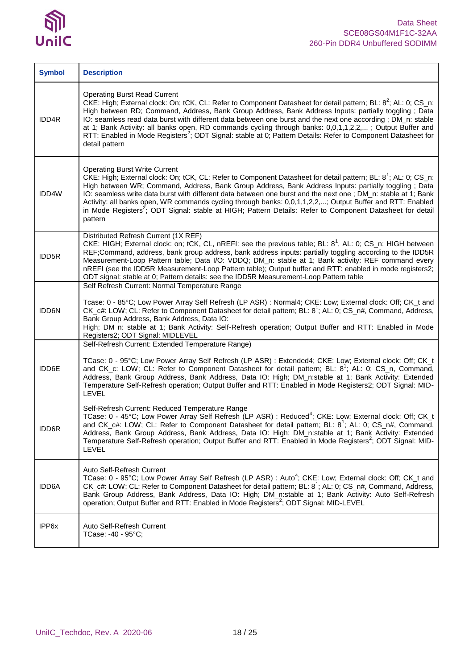

| <b>Symbol</b> | <b>Description</b>                                                                                                                                                                                                                                                                                                                                                                                                                                                                                                                                                                                                                                |
|---------------|---------------------------------------------------------------------------------------------------------------------------------------------------------------------------------------------------------------------------------------------------------------------------------------------------------------------------------------------------------------------------------------------------------------------------------------------------------------------------------------------------------------------------------------------------------------------------------------------------------------------------------------------------|
| IDD4R         | <b>Operating Burst Read Current</b><br>CKE: High; External clock: On; tCK, CL: Refer to Component Datasheet for detail pattern; BL: 8 <sup>2</sup> ; AL: 0; CS_n:<br>High between RD; Command, Address, Bank Group Address, Bank Address Inputs: partially toggling; Data<br>IO: seamless read data burst with different data between one burst and the next one according; DM_n: stable<br>at 1; Bank Activity: all banks open, RD commands cycling through banks: 0,0,1,1,2,2,; Output Buffer and<br>RTT: Enabled in Mode Registers <sup>2</sup> ; ODT Signal: stable at 0; Pattern Details: Refer to Component Datasheet for<br>detail pattern |
| IDD4W         | <b>Operating Burst Write Current</b><br>CKE: High; External clock: On; tCK, CL: Refer to Component Datasheet for detail pattern; BL: 8 <sup>1</sup> ; AL: 0; CS_n:<br>High between WR; Command, Address, Bank Group Address, Bank Address Inputs: partially toggling; Data<br>IO: seamless write data burst with different data between one burst and the next one; DM_n: stable at 1; Bank<br>Activity: all banks open, WR commands cycling through banks: 0,0,1,1,2,2,; Output Buffer and RTT: Enabled<br>in Mode Registers <sup>2</sup> ; ODT Signal: stable at HIGH; Pattern Details: Refer to Component Datasheet for detail<br>pattern      |
| <b>IDD5R</b>  | Distributed Refresh Current (1X REF)<br>CKE: HIGH; External clock: on; tCK, CL, nREFI: see the previous table; BL: 8 <sup>1</sup> , AL: 0; CS_n: HIGH between<br>REF;Command, address, bank group address, bank address inputs: partially toggling according to the IDD5R<br>Measurement-Loop Pattern table; Data I/O: VDDQ; DM_n: stable at 1; Bank activity: REF command every<br>nREFI (see the IDD5R Measurement-Loop Pattern table); Output buffer and RTT: enabled in mode registers2;<br>ODT signal: stable at 0; Pattern details: see the IDD5R Measurement-Loop Pattern table                                                            |
| IDD6N         | Self Refresh Current: Normal Temperature Range<br>Tcase: 0 - 85°C; Low Power Array Self Refresh (LP ASR) : Normal4; CKE: Low; External clock: Off; CK_t and<br>CK_c#: LOW; CL: Refer to Component Datasheet for detail pattern; BL: 8 <sup>1</sup> ; AL: 0; CS_n#, Command, Address,<br>Bank Group Address, Bank Address, Data IO:<br>High; DM n: stable at 1; Bank Activity: Self-Refresh operation; Output Buffer and RTT: Enabled in Mode<br>Registers2; ODT Signal: MIDLEVEL                                                                                                                                                                  |
| IDD6E         | Self-Refresh Current: Extended Temperature Range)<br>TCase: 0 - 95°C; Low Power Array Self Refresh (LP ASR) : Extended4; CKE: Low; External clock: Off; CK_t<br>and CK_c: LOW; CL: Refer to Component Datasheet for detail pattern; BL: 8 <sup>1</sup> ; AL: 0; CS_n, Command,<br>Address, Bank Group Address, Bank Address, Data IO: High; DM n:stable at 1; Bank Activity: Extended<br>Temperature Self-Refresh operation; Output Buffer and RTT: Enabled in Mode Registers2; ODT Signal: MID-<br>LEVEL                                                                                                                                         |
| IDD6R         | Self-Refresh Current: Reduced Temperature Range<br>TCase: 0 - 45°C; Low Power Array Self Refresh (LP ASR) : Reduced <sup>4</sup> ; CKE: Low; External clock: Off; CK_t<br>and CK_c#: LOW; CL: Refer to Component Datasheet for detail pattern; BL: 8'; AL: 0; CS_n#, Command,<br>Address, Bank Group Address, Bank Address, Data IO: High; DM_n:stable at 1; Bank Activity: Extended<br>Temperature Self-Refresh operation; Output Buffer and RTT: Enabled in Mode Registers <sup>2</sup> ; ODT Signal: MID-<br>LEVEL                                                                                                                             |
| IDD6A         | Auto Self-Refresh Current<br>TCase: 0 - 95°C; Low Power Array Self Refresh (LP ASR) : Auto <sup>4</sup> ; CKE: Low; External clock: Off; CK_t and<br>CK_c#: LOW; CL: Refer to Component Datasheet for detail pattern; BL: 8 <sup>1</sup> ; AL: 0; CS_n#, Command, Address,<br>Bank Group Address, Bank Address, Data IO: High; DM_n:stable at 1; Bank Activity: Auto Self-Refresh<br>operation; Output Buffer and RTT: Enabled in Mode Registers <sup>2</sup> ; ODT Signal: MID-LEVEL                                                                                                                                                             |
| IPP6x         | Auto Self-Refresh Current<br>TCase: -40 - 95°C;                                                                                                                                                                                                                                                                                                                                                                                                                                                                                                                                                                                                   |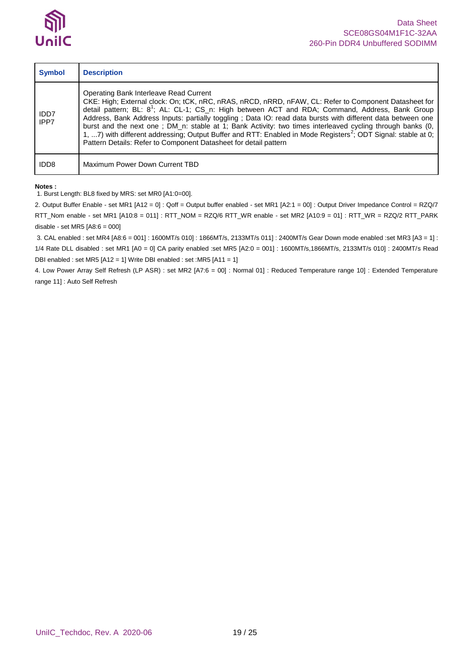

| <b>Symbol</b>    | <b>Description</b>                                                                                                                                                                                                                                                                                                                                                                                                                                                                                                                                                                                                                                                                          |
|------------------|---------------------------------------------------------------------------------------------------------------------------------------------------------------------------------------------------------------------------------------------------------------------------------------------------------------------------------------------------------------------------------------------------------------------------------------------------------------------------------------------------------------------------------------------------------------------------------------------------------------------------------------------------------------------------------------------|
| IDD7<br>IPP7     | Operating Bank Interleave Read Current<br>CKE: High; External clock: On; tCK, nRC, nRAS, nRCD, nRRD, nFAW, CL: Refer to Component Datasheet for<br>detail pattern; BL: 8 <sup>1</sup> ; AL: CL-1; CS_n: High between ACT and RDA; Command, Address, Bank Group<br>Address, Bank Address Inputs: partially toggling; Data IO: read data bursts with different data between one<br>burst and the next one; DM_n: stable at 1; Bank Activity: two times interleaved cycling through banks (0,<br>1, 7) with different addressing; Output Buffer and RTT: Enabled in Mode Registers <sup>2</sup> ; ODT Signal: stable at 0;<br>Pattern Details: Refer to Component Datasheet for detail pattern |
| IDD <sub>8</sub> | Maximum Power Down Current TBD                                                                                                                                                                                                                                                                                                                                                                                                                                                                                                                                                                                                                                                              |

#### **Notes :**

1. Burst Length: BL8 fixed by MRS: set MR0 [A1:0=00].

2. Output Buffer Enable - set MR1 [A12 = 0] : Qoff = Output buffer enabled - set MR1 [A2:1 = 00] : Output Driver Impedance Control = RZQ/7 RTT\_Nom enable - set MR1 [A10:8 = 011] : RTT\_NOM = RZQ/6 RTT\_WR enable - set MR2 [A10:9 = 01] : RTT\_WR = RZQ/2 RTT\_PARK disable - set MR5 [A8:6 = 000]

3. CAL enabled : set MR4 [A8:6 = 001] : 1600MT/s 010] : 1866MT/s, 2133MT/s 011] : 2400MT/s Gear Down mode enabled :set MR3 [A3 = 1] : 1/4 Rate DLL disabled : set MR1 [A0 = 0] CA parity enabled :set MR5 [A2:0 = 001] : 1600MT/s,1866MT/s, 2133MT/s 010] : 2400MT/s Read DBI enabled : set MR5 [A12 = 1] Write DBI enabled : set :MR5 [A11 = 1]

4. Low Power Array Self Refresh (LP ASR) : set MR2 [A7:6 = 00] : Normal 01] : Reduced Temperature range 10] : Extended Temperature range 11] : Auto Self Refresh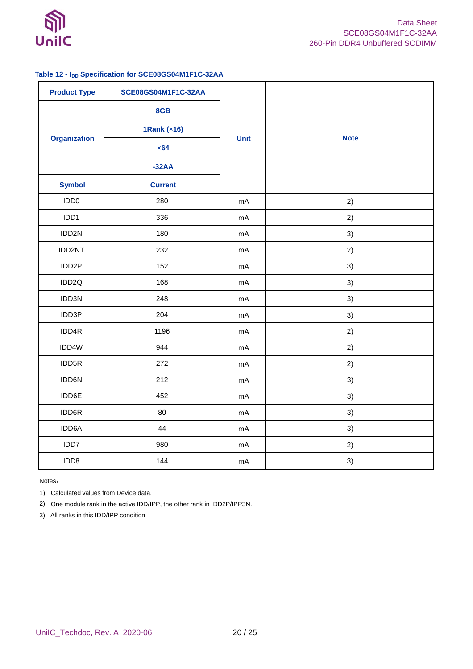

### <span id="page-19-0"></span>**Table 12 - IDD Specification for SCE08GS04M1F1C-32AA**

| <b>Product Type</b> | <b>SCE08GS04M1F1C-32AA</b> |      |             |
|---------------------|----------------------------|------|-------------|
|                     | 8GB                        |      |             |
|                     | 1Rank $(x16)$              |      |             |
| <b>Organization</b> | $\times 64$                | Unit | <b>Note</b> |
|                     | $-32AA$                    |      |             |
| <b>Symbol</b>       | <b>Current</b>             |      |             |
| IDD <sub>0</sub>    | 280                        | mA   | 2)          |
| IDD1                | 336                        | mA   | 2)          |
| IDD2N               | 180                        | mA   | 3)          |
| IDD2NT              | 232                        | mA   | 2)          |
| IDD2P               | 152                        | mA   | 3)          |
| IDD2Q               | 168                        | mA   | 3)          |
| IDD3N               | 248                        | mA   | 3)          |
| IDD3P               | 204                        | mA   | 3)          |
| IDD4R               | 1196                       | mA   | 2)          |
| IDD4W               | 944                        | mA   | 2)          |
| IDD5R               | 272                        | mA   | 2)          |
| IDD6N               | 212                        | mA   | 3)          |
| IDD6E               | 452                        | mA   | 3)          |
| IDD6R               | 80                         | mA   | 3)          |
| IDD6A               | 44                         | mA   | 3)          |
| IDD7                | 980                        | mA   | 2)          |
| IDD8                | 144                        | mA   | 3)          |

Notes:

1) Calculated values from Device data.

2) One module rank in the active IDD/IPP, the other rank in IDD2P/IPP3N.

3) All ranks in this IDD/IPP condition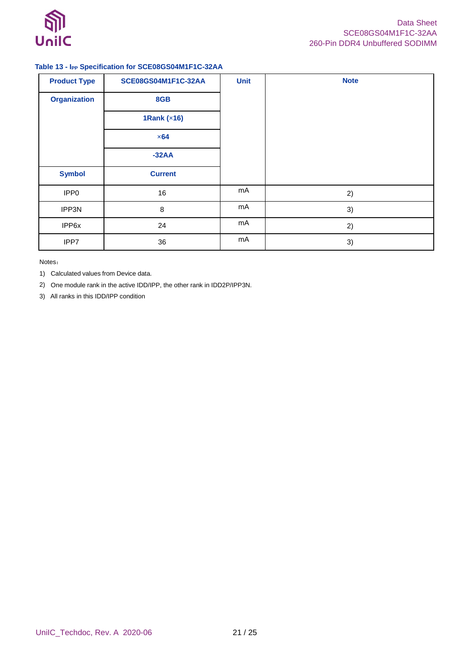

### <span id="page-20-0"></span>**Table 13 - IPP Specification for SCE08GS04M1F1C-32AA**

| <b>Product Type</b> | SCE08GS04M1F1C-32AA | <b>Unit</b> | <b>Note</b> |
|---------------------|---------------------|-------------|-------------|
| <b>Organization</b> | 8GB                 |             |             |
|                     | 1Rank (x16)         |             |             |
|                     | $\times 64$         |             |             |
|                     | $-32AA$             |             |             |
| <b>Symbol</b>       | <b>Current</b>      |             |             |
| IPP <sub>0</sub>    | 16                  | mA          | 2)          |
| IPP3N               | 8                   | mA          | 3)          |
| IPP6x               | 24                  | mA          | 2)          |
| IPP7                | 36                  | mA          | 3)          |

Notes:

1) Calculated values from Device data.

2) One module rank in the active IDD/IPP, the other rank in IDD2P/IPP3N.

3) All ranks in this IDD/IPP condition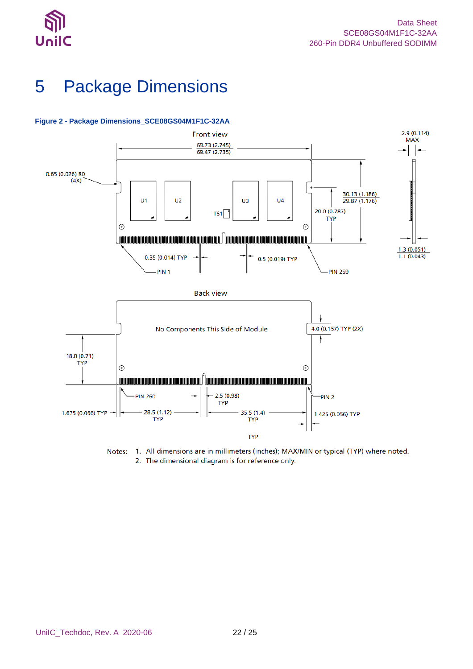

# <span id="page-21-0"></span>5 Package Dimensions



### <span id="page-21-1"></span>**Figure 2 - Package Dimensions\_SCE08GS04M1F1C-32AA**

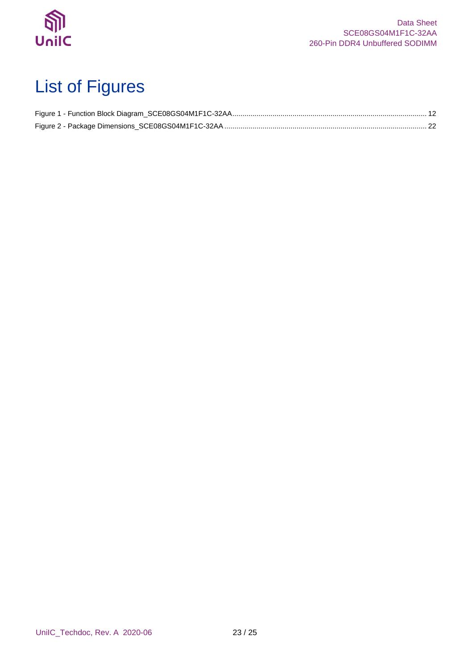

# <span id="page-22-0"></span>List of Figures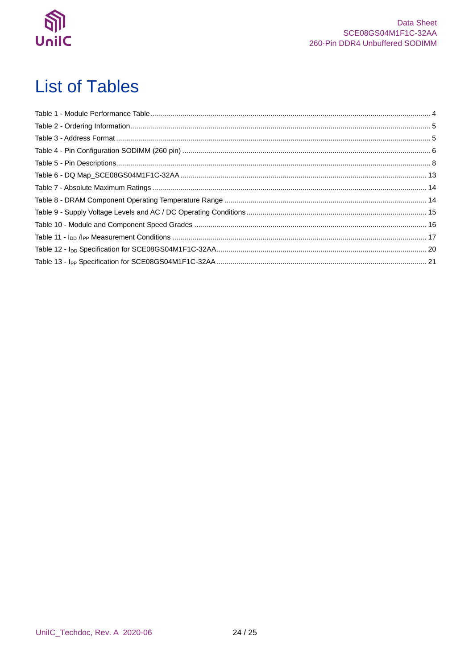

# <span id="page-23-0"></span>**List of Tables**